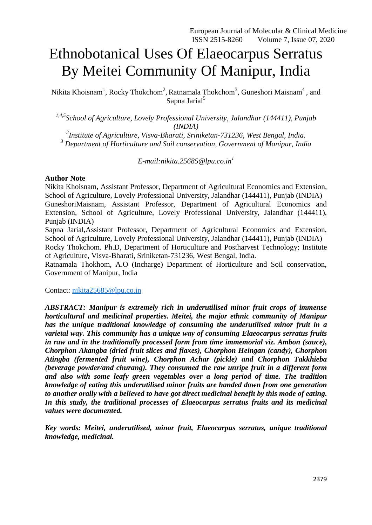# Ethnobotanical Uses Of Elaeocarpus Serratus By Meitei Community Of Manipur, India

Nikita Khoisnam<sup>1</sup>, Rocky Thokchom<sup>2</sup>, Ratnamala Thokchom<sup>3</sup>, Guneshori Maisnam<sup>4</sup>, and Sapna Jarial<sup>5</sup>

*1,4,5School of Agriculture, Lovely Professional University, Jalandhar (144411), Punjab (INDIA)*

*2 Institute of Agriculture, Visva-Bharati, Sriniketan-731236, West Bengal, India. <sup>3</sup> Department of Horticulture and Soil conservation, Government of Manipur, India*

*E-mail:nikita.25685@lpu.co.in<sup>1</sup>*

## **Author Note**

Nikita Khoisnam, Assistant Professor, Department of Agricultural Economics and Extension, School of Agriculture, Lovely Professional University, Jalandhar (144411), Punjab (INDIA) GuneshoriMaisnam, Assistant Professor, Department of Agricultural Economics and Extension, School of Agriculture, Lovely Professional University, Jalandhar (144411), Punjab (INDIA)

Sapna Jarial,Assistant Professor, Department of Agricultural Economics and Extension, School of Agriculture, Lovely Professional University, Jalandhar (144411), Punjab (INDIA)

Rocky Thokchom. Ph.D, Department of Horticulture and Postharvest Technology; Institute of Agriculture, Visva-Bharati, Sriniketan-731236, West Bengal, India.

Ratnamala Thokhom, A.O (Incharge) Department of Horticulture and Soil conservation, Government of Manipur, India

Contact: [nikita25685@lpu.co.in](mailto:nikita25685@lpu.co.in)

*ABSTRACT: Manipur is extremely rich in underutilised minor fruit crops of immense horticultural and medicinal properties. Meitei, the major ethnic community of Manipur has the unique traditional knowledge of consuming the underutilised minor fruit in a varietal way. This community has a unique way of consuming Elaeocarpus serratus fruits in raw and in the traditionally processed form from time immemorial viz. Ambon (sauce), Chorphon Akangba (dried fruit slices and flaxes), Chorphon Heingan (candy), Chorphon Atingba (fermented fruit wine), Chorphon Achar (pickle) and Chorphon Takkhieba (beverage powder/and churang). They consumed the raw unripe fruit in a different form and also with some leafy green vegetables over a long period of time. The tradition knowledge of eating this underutilised minor fruits are handed down from one generation to another orally with a believed to have got direct medicinal benefit by this mode of eating. In this study, the traditional processes of Elaeocarpus serratus fruits and its medicinal values were documented.*

*Key words: Meitei, underutilised, minor fruit, Elaeocarpus serratus, unique traditional knowledge, medicinal.*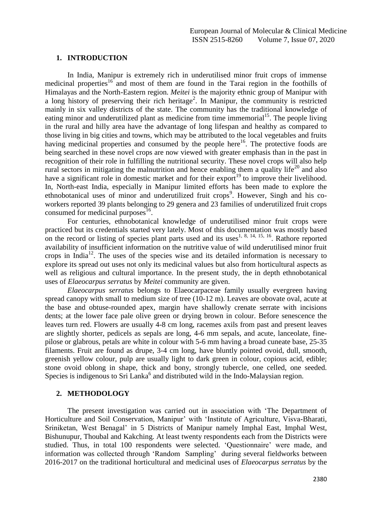## **1. INTRODUCTION**

In India, Manipur is extremely rich in underutilised minor fruit crops of immense medicinal properties<sup>16</sup> and most of them are found in the Tarai region in the foothills of Himalayas and the North-Eastern region. *Meitei* is the majority ethnic group of Manipur with a long history of preserving their rich heritage<sup>2</sup>. In Manipur, the community is restricted mainly in six valley districts of the state. The community has the traditional knowledge of eating minor and underutilized plant as medicine from time immemorial<sup>15</sup>. The people living in the rural and hilly area have the advantage of long lifespan and healthy as compared to those living in big cities and towns, which may be attributed to the local vegetables and fruits having medicinal properties and consumed by the people here<sup>16</sup>. The protective foods are being searched in these novel crops are now viewed with greater emphasis than in the past in recognition of their role in fulfilling the nutritional security. These novel crops will also help rural sectors in mitigating the malnutrition and hence enabling them a quality life<sup>20</sup> and also have a significant role in domestic market and for their export<sup>19</sup> to improve their livelihood. In, North-east India, especially in Manipur limited efforts has been made to explore the ethnobotanical uses of minor and underutilized fruit crops<sup>9</sup>. However, Singh and his coworkers reported 39 plants belonging to 29 genera and 23 families of underutilized fruit crops consumed for medicinal purposes<sup>16</sup>.

For centuries, ethnobotanical knowledge of underutilised minor fruit crops were practiced but its credentials started very lately. Most of this documentation was mostly based on the record or listing of species plant parts used and its uses<sup>1, 8, 14, 15, 16</sup>. Rathore reported availability of insufficient information on the nutritive value of wild underutilised minor fruit crops in India<sup>12</sup>. The uses of the species wise and its detailed information is necessary to explore its spread out uses not only its medicinal values but also from horticultural aspects as well as religious and cultural importance. In the present study, the in depth ethnobotanical uses of *Elaeocarpus serratus* by *Meitei* community are given.

*Elaeocarpus serratus* belongs to Elaeocarpaceae family usually evergreen having spread canopy with small to medium size of tree (10-12 m). Leaves are obovate oval, acute at the base and obtuse-rounded apex, margin have shallowly crenate serrate with incisions dents; at the lower face pale olive green or drying brown in colour. Before senescence the leaves turn red. Flowers are usually 4-8 cm long, racemes axils from past and present leaves are slightly shorter, pedicels as sepals are long, 4-6 mm sepals, and acute, lanceolate, finepilose or glabrous, petals are white in colour with 5-6 mm having a broad cuneate base, 25-35 filaments. Fruit are found as drupe, 3-4 cm long, have bluntly pointed ovoid, dull, smooth, greenish yellow colour, pulp are usually light to dark green in colour, copious acid, edible; stone ovoid oblong in shape, thick and bony, strongly tubercle, one celled, one seeded. Species is indigenous to Sri Lanka $<sup>6</sup>$  and distributed wild in the Indo-Malaysian region.</sup>

# **2. METHODOLOGY**

The present investigation was carried out in association with 'The Department of Horticulture and Soil Conservation, Manipur' with 'Institute of Agriculture, Visva-Bharati, Sriniketan, West Benagal' in 5 Districts of Manipur namely Imphal East, Imphal West, Bishunupur, Thoubal and Kakching. At least twenty respondents each from the Districts were studied. Thus, in total 100 respondents were selected. 'Questionnaire' were made, and information was collected through 'Random Sampling' during several fieldworks between 2016-2017 on the traditional horticultural and medicinal uses of *Elaeocarpus serratus* by the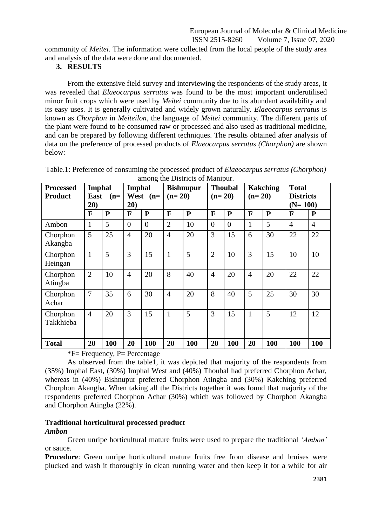community of *Meitei*. The information were collected from the local people of the study area and analysis of the data were done and documented.

# **3. RESULTS**

From the extensive field survey and interviewing the respondents of the study areas, it was revealed that *Elaeocarpus serratus* was found to be the most important underutilised minor fruit crops which were used by *Meitei* community due to its abundant availability and its easy uses. It is generally cultivated and widely grown naturally. *Elaeocarpus serratus* is known as *Chorphon* in *Meiteilon*, the language of *Meitei* community. The different parts of the plant were found to be consumed raw or processed and also used as traditional medicine, and can be prepared by following different techniques. The results obtained after analysis of data on the preference of processed products of *Elaeocarpus serratus (Chorphon)* are shown below:

| <b>Processed</b>      | <b>Imphal</b>        |              | <b>Imphal</b>        |           | <b>Bishnupur</b> |           | <b>Thoubal</b> |              | <b>Kakching</b> |              | <b>Total</b>                  |                |
|-----------------------|----------------------|--------------|----------------------|-----------|------------------|-----------|----------------|--------------|-----------------|--------------|-------------------------------|----------------|
| <b>Product</b>        | East<br>$(n=$<br>20) |              | West<br>$(n=$<br>20) |           | $(n=20)$         |           | $(n=20)$       |              | $(n=20)$        |              | <b>Districts</b><br>$(N=100)$ |                |
|                       |                      |              |                      |           |                  |           |                |              |                 |              |                               |                |
|                       | F                    | $\mathbf{P}$ | $\mathbf{F}$         | ${\bf P}$ | F                | ${\bf P}$ | F              | $\mathbf{P}$ | F               | $\mathbf{P}$ | F                             | ${\bf P}$      |
| Ambon                 | 1                    | 5            | $\theta$             | $\theta$  | $\overline{2}$   | 10        | $\overline{0}$ | $\theta$     | 1               | 5            | $\overline{4}$                | $\overline{4}$ |
| Chorphon<br>Akangba   | 5                    | 25           | $\overline{4}$       | 20        | $\overline{4}$   | 20        | 3              | 15           | 6               | 30           | 22                            | 22             |
| Chorphon<br>Heingan   | $\mathbf{1}$         | 5            | 3                    | 15        | 1                | 5         | $\overline{2}$ | 10           | 3               | 15           | 10                            | 10             |
| Chorphon<br>Atingba   | $\overline{2}$       | 10           | $\overline{4}$       | 20        | 8                | 40        | $\overline{4}$ | 20           | $\overline{4}$  | 20           | 22                            | 22             |
| Chorphon<br>Achar     | 7                    | 35           | 6                    | 30        | $\overline{4}$   | 20        | 8              | 40           | 5               | 25           | 30                            | 30             |
| Chorphon<br>Takkhieba | $\overline{4}$       | 20           | 3                    | 15        | $\mathbf{1}$     | 5         | 3              | 15           | 1               | 5            | 12                            | 12             |
| <b>Total</b>          | 20                   | 100          | 20                   | 100       | 20               | 100       | 20             | <b>100</b>   | 20              | 100          | 100                           | 100            |

| Table.1: Preference of consuming the processed product of <i>Elaeocarpus serratus (Chorphon)</i> |
|--------------------------------------------------------------------------------------------------|
| among the Districts of Manipur.                                                                  |

\*F= Frequency, P= Percentage

As observed from the table1, it was depicted that majority of the respondents from (35%) Imphal East, (30%) Imphal West and (40%) Thoubal had preferred Chorphon Achar, whereas in (40%) Bishnupur preferred Chorphon Atingba and (30%) Kakching preferred Chorphon Akangba. When taking all the Districts together it was found that majority of the respondents preferred Chorphon Achar (30%) which was followed by Chorphon Akangba and Chorphon Atingba (22%).

## **Traditional horticultural processed product**  *Ambon*

Green unripe horticultural mature fruits were used to prepare the traditional *'Ambon'* or sauce.

**Procedure**: Green unripe horticultural mature fruits free from disease and bruises were plucked and wash it thoroughly in clean running water and then keep it for a while for air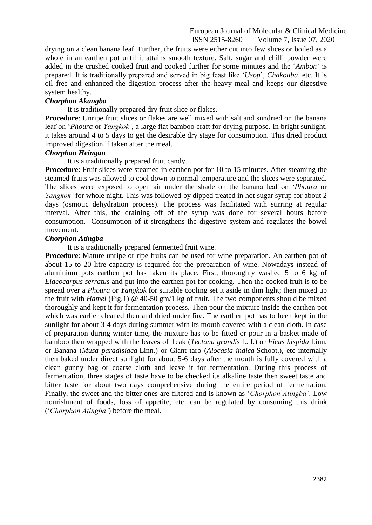drying on a clean banana leaf. Further, the fruits were either cut into few slices or boiled as a whole in an earthen pot until it attains smooth texture. Salt, sugar and chilli powder were added in the crushed cooked fruit and cooked further for some minutes and the '*Ambon*' is prepared. It is traditionally prepared and served in big feast like '*Usop*', *Chakouba*, etc. It is oil free and enhanced the digestion process after the heavy meal and keeps our digestive system healthy.

# *Chorphon Akangba*

It is traditionally prepared dry fruit slice or flakes.

**Procedure**: Unripe fruit slices or flakes are well mixed with salt and sundried on the banana leaf on '*Phoura* or *Yangkok',* a large flat bamboo craft for drying purpose. In bright sunlight, it takes around 4 to 5 days to get the desirable dry stage for consumption. This dried product improved digestion if taken after the meal.

## *Chorphon Heingan*

It is a traditionally prepared fruit candy.

**Procedure**: Fruit slices were steamed in earthen pot for 10 to 15 minutes. After steaming the steamed fruits was allowed to cool down to normal temperature and the slices were separated. The slices were exposed to open air under the shade on the banana leaf on '*Phoura* or *Yangkok'* for whole night. This was followed by dipped treated in hot sugar syrup for about 2 days (osmotic dehydration process). The process was facilitated with stirring at regular interval. After this, the draining off of the syrup was done for several hours before consumption. Consumption of it strengthens the digestive system and regulates the bowel movement.

## *Chorphon Atingba*

It is a traditionally prepared fermented fruit wine.

**Procedure**: Mature unripe or ripe fruits can be used for wine preparation. An earthen pot of about 15 to 20 litre capacity is required for the preparation of wine. Nowadays instead of aluminium pots earthen pot has taken its place. First, thoroughly washed 5 to 6 kg of *Elaeocarpus serratus* and put into the earthen pot for cooking. Then the cooked fruit is to be spread over a *Phoura* or *Yangkok* for suitable cooling set it aside in dim light; then mixed up the fruit with *Hamei* (Fig.1) @ 40-50 gm/1 kg of fruit. The two components should be mixed thoroughly and kept it for fermentation process. Then pour the mixture inside the earthen pot which was earlier cleaned then and dried under fire. The earthen pot has to been kept in the sunlight for about 3-4 days during summer with its mouth covered with a clean cloth. In case of preparation during winter time, the mixture has to be fitted or pour in a basket made of bamboo then wrapped with the leaves of Teak (*Tectona grandis* L. f.) or *Ficus hispida* Linn. or Banana (*Musa paradisiaca* Linn.) or Giant taro (*Alocasia indica* Schoot.), etc internally then baked under direct sunlight for about 5-6 days after the mouth is fully covered with a clean gunny bag or coarse cloth and leave it for fermentation. During this process of fermentation, three stages of taste have to be checked i.e alkaline taste then sweet taste and bitter taste for about two days comprehensive during the entire period of fermentation. Finally, the sweet and the bitter ones are filtered and is known as '*Chorphon Atingba'*. Low nourishment of foods, loss of appetite, etc. can be regulated by consuming this drink ('*Chorphon Atingba'*) before the meal.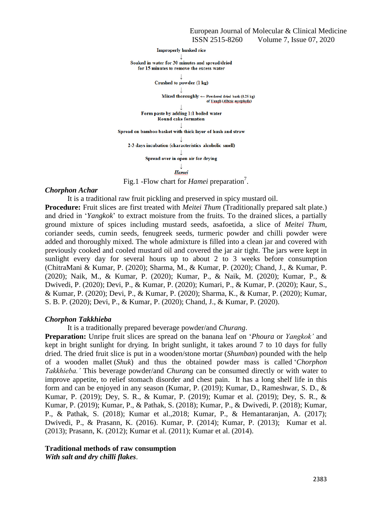**Improperly husked rice** Soaked in water for 30 minutes and spread/dried for 15 minutes to remove the excess water Crushed to powder (1 kg) Mixed thoroughly  $\leftarrow$  Powdered dried bark (0.25 kg) of Yangli (Albizia myriphylla) Form paste by adding 1:1 boiled water Round cake formation Spread on bamboo basket with thick layer of hush and straw 2-3 days incubation (characteristics alcoholic smell) Spread over in open air for drying  $\perp$ Hamei

Fig.1 - Flow chart for *Hamei* preparation<sup>7</sup>.

#### *Chorphon Achar*

It is a traditional raw fruit pickling and preserved in spicy mustard oil.

**Procedure:** Fruit slices are first treated with *Meitei Thum* (Traditionally prepared salt plate.) and dried in '*Yangkok*' to extract moisture from the fruits. To the drained slices, a partially ground mixture of spices including mustard seeds, asafoetida, a slice of *Meitei Thum*, coriander seeds, cumin seeds, fenugreek seeds, turmeric powder and chilli powder were added and thoroughly mixed. The whole admixture is filled into a clean jar and covered with previously cooked and cooled mustard oil and covered the jar air tight. The jars were kept in sunlight every day for several hours up to about 2 to 3 weeks before consumption (ChitraMani & Kumar, P. (2020); Sharma, M., & Kumar, P. (2020); Chand, J., & Kumar, P. (2020); Naik, M., & Kumar, P. (2020); Kumar, P., & Naik, M. (2020); Kumar, P., & Dwivedi, P. (2020); Devi, P., & Kumar, P. (2020); Kumari, P., & Kumar, P. (2020); Kaur, S., & Kumar, P. (2020); Devi, P., & Kumar, P. (2020); Sharma, K., & Kumar, P. (2020); Kumar, S. B. P. (2020); Devi, P., & Kumar, P. (2020); Chand, J., & Kumar, P. (2020).

#### *Chorphon Takkhieba*

It is a traditionally prepared beverage powder/and *Churang*.

**Preparation:** Unripe fruit slices are spread on the banana leaf on '*Phoura* or *Yangkok'* and kept in bright sunlight for drying*.* In bright sunlight, it takes around 7 to 10 days for fully dried. The dried fruit slice is put in a wooden/stone mortar (*Shumban*) pounded with the help of a wooden mallet (*Shuk*) and thus the obtained powder mass is called '*Chorphon Takkhieba.'* This beverage powder/and *Churang* can be consumed directly or with water to improve appetite, to relief stomach disorder and chest pain. It has a long shelf life in this form and can be enjoyed in any season (Kumar, P. (2019); Kumar, D., Rameshwar, S. D., & Kumar, P. (2019); Dey, S. R., & Kumar, P. (2019); Kumar et al. (2019); Dey, S. R., & Kumar, P. (2019); Kumar, P., & Pathak, S. (2018); Kumar, P., & Dwivedi, P. (2018); Kumar, P., & Pathak, S. (2018); Kumar et al.,2018; Kumar, P., & Hemantaranjan, A. (2017); Dwivedi, P., & Prasann, K. (2016). Kumar, P. (2014); Kumar, P. (2013); Kumar et al. (2013); Prasann, K. (2012); Kumar et al. (2011); Kumar et al. (2014).

# **Traditional methods of raw consumption**

*With salt and dry chilli flakes*.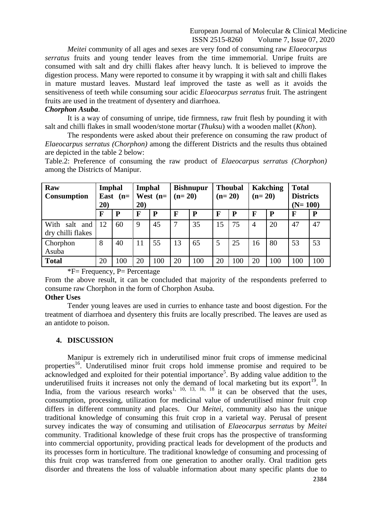*Meitei* community of all ages and sexes are very fond of consuming raw *Elaeocarpus serratus* fruits and young tender leaves from the time immemorial. Unripe fruits are consumed with salt and dry chilli flakes after heavy lunch. It is believed to improve the digestion process. Many were reported to consume it by wrapping it with salt and chilli flakes in mature mustard leaves. Mustard leaf improved the taste as well as it avoids the sensitiveness of teeth while consuming sour acidic *Elaeocarpus serratus* fruit*.* The astringent fruits are used in the treatment of dysentery and diarrhoea.

## *Chorphon Asuba*.

It is a way of consuming of unripe, tide firmness, raw fruit flesh by pounding it with salt and chilli flakes in small wooden/stone mortar (*Thuksu*) with a wooden mallet (*Khon*).

The respondents were asked about their preference on consuming the raw product of *Elaeocarpus serratus (Chorphon)* among the different Districts and the results thus obtained are depicted in the table 2 below:

Table.2: Preference of consuming the raw product of *Elaeocarpus serratus (Chorphon)*  among the Districts of Manipur.

| Raw<br><b>Consumption</b>                | Imphal<br>East $(n=$<br>20) |              | Imphal<br>West $(n=$<br>20) |     | <b>Bishnupur</b><br>$(n=20)$ |              | <b>Thoubal</b><br>$(n=20)$ |     | <b>Kakching</b><br>$(n=20)$ |             | <b>Total</b><br><b>Districts</b><br>$(N=100)$ |     |
|------------------------------------------|-----------------------------|--------------|-----------------------------|-----|------------------------------|--------------|----------------------------|-----|-----------------------------|-------------|-----------------------------------------------|-----|
|                                          | F                           | $\mathbf{P}$ | F                           | P   | $\mathbf{F}$                 | $\mathbf{P}$ | F                          | P   | F                           | $\mathbf P$ | $\mathbf{F}$                                  | P   |
| With<br>salt<br>and<br>dry chilli flakes | 12                          | 60           | 9                           | 45  | $\overline{7}$               | 35           | 15                         | 75  | $\overline{A}$              | 20          | 47                                            | 47  |
| Chorphon<br>Asuba                        | 8                           | 40           | 11                          | 55  | 13                           | 65           | 5                          | 25  | 16                          | 80          | 53                                            | 53  |
| <b>Total</b>                             | 20                          | 100          | 20                          | 100 | 20                           | 100          | 20                         | 100 | 20                          | 100         | 100                                           | 100 |

# $*F$ = Frequency, P = Percentage

From the above result, it can be concluded that majority of the respondents preferred to consume raw Chorphon in the form of Chorphon Asuba.

# **Other Uses**

Tender young leaves are used in curries to enhance taste and boost digestion. For the treatment of diarrhoea and dysentery this fruits are locally prescribed. The leaves are used as an antidote to poison.

#### **4. DISCUSSION**

Manipur is extremely rich in underutilised minor fruit crops of immense medicinal properties<sup>16</sup>. Underutilised minor fruit crops hold immense promise and required to be  $\alpha$ acknowledged and exploited for their potential importance<sup>5</sup>. By adding value addition to the underutilised fruits it increases not only the demand of local marketing but its export<sup>19</sup>. In India, from the various research works<sup>1, 10, 13, 16, 18</sup> it can be observed that the uses, consumption, processing, utilization for medicinal value of underutilised minor fruit crop differs in different community and places. Our *Meitei*, community also has the unique traditional knowledge of consuming this fruit crop in a varietal way. Perusal of present survey indicates the way of consuming and utilisation of *Elaeocarpus serratus* by *Meitei*  community. Traditional knowledge of these fruit crops has the prospective of transforming into commercial opportunity, providing practical leads for development of the products and its processes form in horticulture. The traditional knowledge of consuming and processing of this fruit crop was transferred from one generation to another orally. Oral tradition gets disorder and threatens the loss of valuable information about many specific plants due to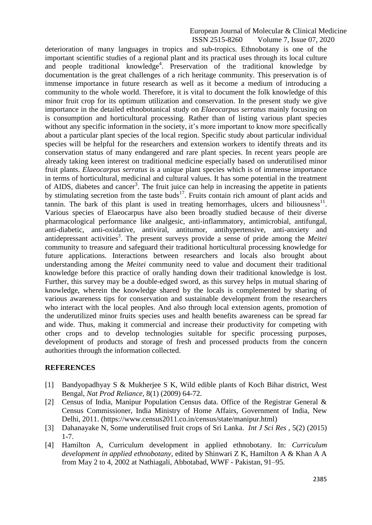deterioration of many languages in tropics and sub-tropics. Ethnobotany is one of the important scientific studies of a regional plant and its practical uses through its local culture and people traditional knowledge<sup>4</sup>. Preservation of the traditional knowledge by documentation is the great challenges of a rich heritage community. This preservation is of immense importance in future research as well as it become a medium of introducing a community to the whole world. Therefore, it is vital to document the folk knowledge of this minor fruit crop for its optimum utilization and conservation. In the present study we give importance in the detailed ethnobotanical study on *Elaeocarpus serratus* mainly focusing on is consumption and horticultural processing. Rather than of listing various plant species without any specific information in the society, it's more important to know more specifically about a particular plant species of the local region. Specific study about particular individual species will be helpful for the researchers and extension workers to identify threats and its conservation status of many endangered and rare plant species. In recent years people are already taking keen interest on traditional medicine especially based on underutilised minor fruit plants. *Elaeocarpus serratus* is a unique plant species which is of immense importance in terms of horticultural, medicinal and cultural values. It has some potential in the treatment of AIDS, diabetes and cancer<sup>3</sup>. The fruit juice can help in increasing the appetite in patients by stimulating secretion from the taste buds<sup>17</sup>. Fruits contain rich amount of plant acids and  $t$ annin. The bark of this plant is used in treating hemorrhages, ulcers and biliousness<sup>11</sup>. Various species of Elaeocarpus have also been broadly studied because of their diverse pharmacological performance like analgesic, anti-inflammatory, antimicrobial, antifungal, anti-diabetic, anti-oxidative, antiviral, antitumor, antihypertensive, anti-anxiety and antidepressant activities<sup>3</sup>. The present surveys provide a sense of pride among the *Meitei* community to treasure and safeguard their traditional horticultural processing knowledge for future applications. Interactions between researchers and locals also brought about understanding among the *Meitei* community need to value and document their traditional knowledge before this practice of orally handing down their traditional knowledge is lost. Further, this survey may be a double-edged sword, as this survey helps in mutual sharing of knowledge, wherein the knowledge shared by the locals is complemented by sharing of various awareness tips for conservation and sustainable development from the researchers who interact with the local peoples. And also through local extension agents, promotion of the underutilized minor fruits species uses and health benefits awareness can be spread far and wide. Thus, making it commercial and increase their productivity for competing with other crops and to develop technologies suitable for specific processing purposes, development of products and storage of fresh and processed products from the concern authorities through the information collected.

# **REFERENCES**

- [1] Bandyopadhyay S & Mukherjee S K, Wild edible plants of Koch Bihar district, West Bengal, *Nat Prod Reliance*, 8(1) (2009) 64-72.
- [2] Census of India, Manipur Population Census data. Office of the Registrar General & Census Commissioner, India Ministry of Home Affairs, Government of India, New Delhi, 2011. [\(https://www.census2011.co.in/census/state/manipur.html\)](https://www.census2011.co.in/census/state/manipur.html)
- [3] Dahanayake N, Some underutilised fruit crops of Sri Lanka. *Int J Sci Res ,* 5(2) (2015) 1-7.
- [4] Hamilton A, Curriculum development in applied ethnobotany. In: *Curriculum development in applied ethnobotany*, edited by Shinwari Z K, Hamilton A & Khan A A from May 2 to 4, 2002 at Nathiagali, Abbotabad, WWF - Pakistan, 91–95.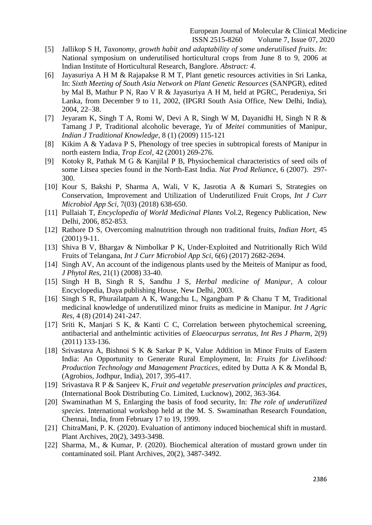- [5] Jallikop S H, *Taxonomy, growth habit and adaptability of some underutilised fruits. In*: National symposium on underutilised horticultural crops from June 8 to 9, 2006 at Indian Institute of Horticultural Research, Banglore. *Abstract: 4*.
- [6] Jayasuriya A H M & Rajapakse R M T, Plant genetic resources activities in Sri Lanka, In: *Sixth Meeting of South Asia Network on Plant Genetic Resources* (SANPGR), edited by Mal B, Mathur P N, Rao V R & Jayasuriya A H M, held at PGRC, Peradeniya, Sri Lanka, from December 9 to 11, 2002, (IPGRI South Asia Office, New Delhi, India), 2004, 22–38.
- [7] Jeyaram K, Singh T A, Romi W, Devi A R, Singh W M, Dayanidhi H, Singh N R & Tamang J P, Traditional alcoholic beverage, *Yu* of *Meitei* communities of Manipur, *Indian J Traditional Knowledge*, 8 (1) (2009) 115-121
- [8] Kikim A & Yadava P S, Phenology of tree species in subtropical forests of Manipur in north eastern India, *Trop Ecol,* 42 (2001) 269-276.
- [9] Kotoky R, Pathak M G & Kanjilal P B, Physiochemical characteristics of seed oils of some Litsea species found in the North-East India. *Nat Prod Reliance*, 6 (2007). 297- 300.
- [10] Kour S, Bakshi P, Sharma A, Wali, V K, Jasrotia A & Kumari S, Strategies on Conservation, Improvement and Utilization of Underutilized Fruit Crops, *Int J Curr Microbiol App Sci,* 7(03) (2018) 638-650.
- [11] Pullaiah T, *Encyclopedia of World Medicinal Plants* Vol.2, Regency Publication, New Delhi, 2006, 852-853.
- [12] Rathore D S, Overcoming malnutrition through non traditional fruits, *Indian Hort,* 45 (2001) 9-11.
- [13] Shiva B V, Bhargav & Nimbolkar P K, Under-Exploited and Nutritionally Rich Wild Fruits of Telangana, *Int J Curr Microbiol App Sci*, 6(6) (2017) 2682-2694.
- [14] Singh AV, An account of the indigenous plants used by the Meiteis of Manipur as food, *J Phytol Res*, 21(1) (2008) 33-40.
- [15] Singh H B, Singh R S, Sandhu J S, *Herbal medicine of Manipur*, A colour Encyclopedia, Daya publishing House, New Delhi, 2003.
- [16] Singh S R, Phurailatpam A K, Wangchu L, Ngangbam P & Chanu T M, Traditional medicinal knowledge of underutilized minor fruits as medicine in Manipur. *Int J Agric Res,* 4 (8) (2014) 241-247.
- [17] Sriti K, Manjari S K, & Kanti C C, Correlation between phytochemical screening, antibacterial and anthelmintic activities of *Elaeocarpus serratus, Int Res J Pharm,* 2(9) (2011) 133-136.
- [18] Srivastava A, Bishnoi S K & Sarkar P K, Value Addition in Minor Fruits of Eastern India: An Opportunity to Generate Rural Employment*,* In: *Fruits for Livelihood: Production Technology and Management Practices*, edited by Dutta A K & Mondal B, (Agrobios, Jodhpur, India), 2017, 395-417.
- [19] Srivastava R P & Sanjeev K, *Fruit and vegetable preservation principles and practices*, (International Book Distributing Co. Limited, Lucknow), 2002, 363-364.
- [20] Swaminathan M S, Enlarging the basis of food security, In: *The role of underutilized species.* International workshop held at the M. S. Swaminathan Research Foundation, Chennai, India, from February 17 to 19, 1999.
- [21] ChitraMani, P. K. (2020). Evaluation of antimony induced biochemical shift in mustard. Plant Archives, 20(2), 3493-3498.
- [22] Sharma, M., & Kumar, P. (2020). Biochemical alteration of mustard grown under tin contaminated soil. Plant Archives, 20(2), 3487-3492.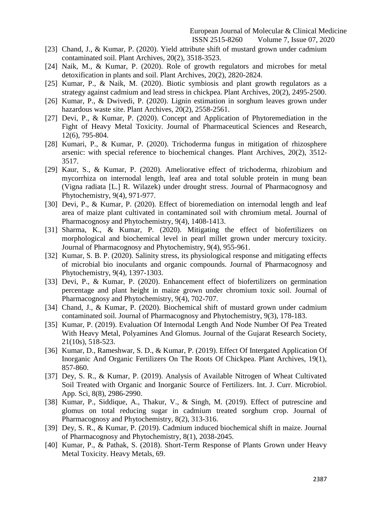- [23] Chand, J., & Kumar, P. (2020). Yield attribute shift of mustard grown under cadmium contaminated soil. Plant Archives, 20(2), 3518-3523.
- [24] Naik, M., & Kumar, P. (2020). Role of growth regulators and microbes for metal detoxification in plants and soil. Plant Archives, 20(2), 2820-2824.
- [25] Kumar, P., & Naik, M. (2020). Biotic symbiosis and plant growth regulators as a strategy against cadmium and lead stress in chickpea. Plant Archives, 20(2), 2495-2500.
- [26] Kumar, P., & Dwivedi, P. (2020). Lignin estimation in sorghum leaves grown under hazardous waste site. Plant Archives, 20(2), 2558-2561.
- [27] Devi, P., & Kumar, P. (2020). Concept and Application of Phytoremediation in the Fight of Heavy Metal Toxicity. Journal of Pharmaceutical Sciences and Research, 12(6), 795-804.
- [28] Kumari, P., & Kumar, P. (2020). Trichoderma fungus in mitigation of rhizosphere arsenic: with special reference to biochemical changes. Plant Archives, 20(2), 3512- 3517.
- [29] Kaur, S., & Kumar, P. (2020). Ameliorative effect of trichoderma, rhizobium and mycorrhiza on internodal length, leaf area and total soluble protein in mung bean (Vigna radiata [L.] R. Wilazek) under drought stress. Journal of Pharmacognosy and Phytochemistry, 9(4), 971-977.
- [30] Devi, P., & Kumar, P. (2020). Effect of bioremediation on internodal length and leaf area of maize plant cultivated in contaminated soil with chromium metal. Journal of Pharmacognosy and Phytochemistry, 9(4), 1408-1413.
- [31] Sharma, K., & Kumar, P. (2020). Mitigating the effect of biofertilizers on morphological and biochemical level in pearl millet grown under mercury toxicity. Journal of Pharmacognosy and Phytochemistry, 9(4), 955-961.
- [32] Kumar, S. B. P. (2020). Salinity stress, its physiological response and mitigating effects of microbial bio inoculants and organic compounds. Journal of Pharmacognosy and Phytochemistry, 9(4), 1397-1303.
- [33] Devi, P., & Kumar, P. (2020). Enhancement effect of biofertilizers on germination percentage and plant height in maize grown under chromium toxic soil. Journal of Pharmacognosy and Phytochemistry, 9(4), 702-707.
- [34] Chand, J., & Kumar, P. (2020). Biochemical shift of mustard grown under cadmium contaminated soil. Journal of Pharmacognosy and Phytochemistry, 9(3), 178-183.
- [35] Kumar, P. (2019). Evaluation Of Internodal Length And Node Number Of Pea Treated With Heavy Metal, Polyamines And Glomus. Journal of the Gujarat Research Society, 21(10s), 518-523.
- [36] Kumar, D., Rameshwar, S. D., & Kumar, P. (2019). Effect Of Intergated Application Of Inorganic And Organic Fertilizers On The Roots Of Chickpea. Plant Archives, 19(1), 857-860.
- [37] Dey, S. R., & Kumar, P. (2019). Analysis of Available Nitrogen of Wheat Cultivated Soil Treated with Organic and Inorganic Source of Fertilizers. Int. J. Curr. Microbiol. App. Sci, 8(8), 2986-2990.
- [38] Kumar, P., Siddique, A., Thakur, V., & Singh, M. (2019). Effect of putrescine and glomus on total reducing sugar in cadmium treated sorghum crop. Journal of Pharmacognosy and Phytochemistry, 8(2), 313-316.
- [39] Dey, S. R., & Kumar, P. (2019). Cadmium induced biochemical shift in maize. Journal of Pharmacognosy and Phytochemistry, 8(1), 2038-2045.
- [40] Kumar, P., & Pathak, S. (2018). Short-Term Response of Plants Grown under Heavy Metal Toxicity. Heavy Metals, 69.